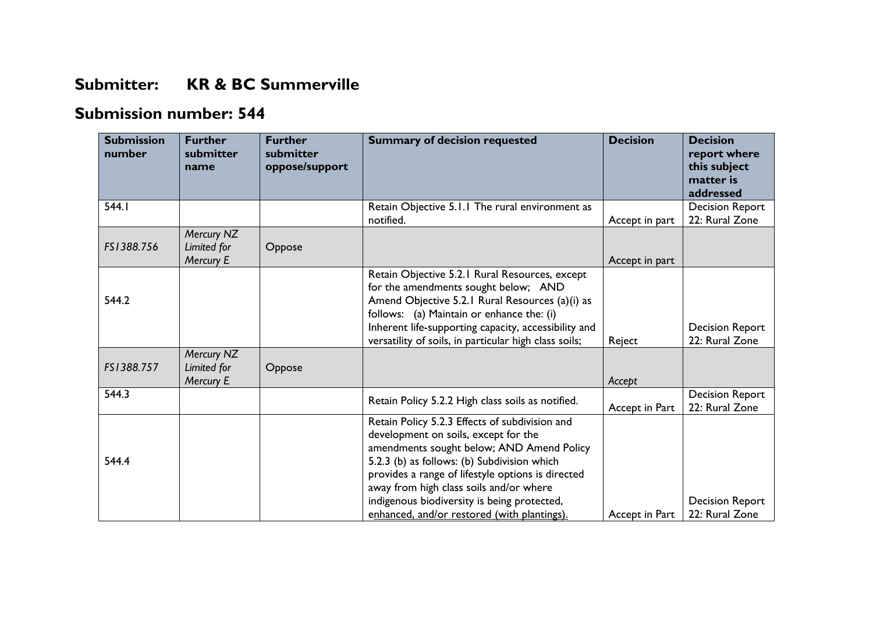## **Submitter: KR & BC Summerville**

## **Submission number: 544**

| <b>Submission</b><br>number | <b>Further</b><br>submitter<br>name           | <b>Further</b><br>submitter<br>oppose/support | <b>Summary of decision requested</b>                                                                                                                                                                                                                                                                                                                                             | <b>Decision</b> | <b>Decision</b><br>report where<br>this subject<br>matter is<br>addressed |
|-----------------------------|-----------------------------------------------|-----------------------------------------------|----------------------------------------------------------------------------------------------------------------------------------------------------------------------------------------------------------------------------------------------------------------------------------------------------------------------------------------------------------------------------------|-----------------|---------------------------------------------------------------------------|
| 544.1                       |                                               |                                               | Retain Objective 5.1.1 The rural environment as<br>notified.                                                                                                                                                                                                                                                                                                                     | Accept in part  | <b>Decision Report</b><br>22: Rural Zone                                  |
| FS1388.756                  | Mercury NZ<br>Limited for<br>Mercury E        | Oppose                                        |                                                                                                                                                                                                                                                                                                                                                                                  | Accept in part  |                                                                           |
| 544.2                       |                                               |                                               | Retain Objective 5.2.1 Rural Resources, except<br>for the amendments sought below; AND<br>Amend Objective 5.2.1 Rural Resources (a)(i) as<br>follows: (a) Maintain or enhance the: (i)<br>Inherent life-supporting capacity, accessibility and<br>versatility of soils, in particular high class soils;                                                                          | Reject          | <b>Decision Report</b><br>22: Rural Zone                                  |
| FS1388.757                  | Mercury NZ<br>Limited for<br><b>Mercury E</b> | Oppose                                        |                                                                                                                                                                                                                                                                                                                                                                                  | Accept          |                                                                           |
| 544.3                       |                                               |                                               | Retain Policy 5.2.2 High class soils as notified.                                                                                                                                                                                                                                                                                                                                | Accept in Part  | <b>Decision Report</b><br>22: Rural Zone                                  |
| 544.4                       |                                               |                                               | Retain Policy 5.2.3 Effects of subdivision and<br>development on soils, except for the<br>amendments sought below; AND Amend Policy<br>5.2.3 (b) as follows: (b) Subdivision which<br>provides a range of lifestyle options is directed<br>away from high class soils and/or where<br>indigenous biodiversity is being protected,<br>enhanced, and/or restored (with plantings). | Accept in Part  | <b>Decision Report</b><br>22: Rural Zone                                  |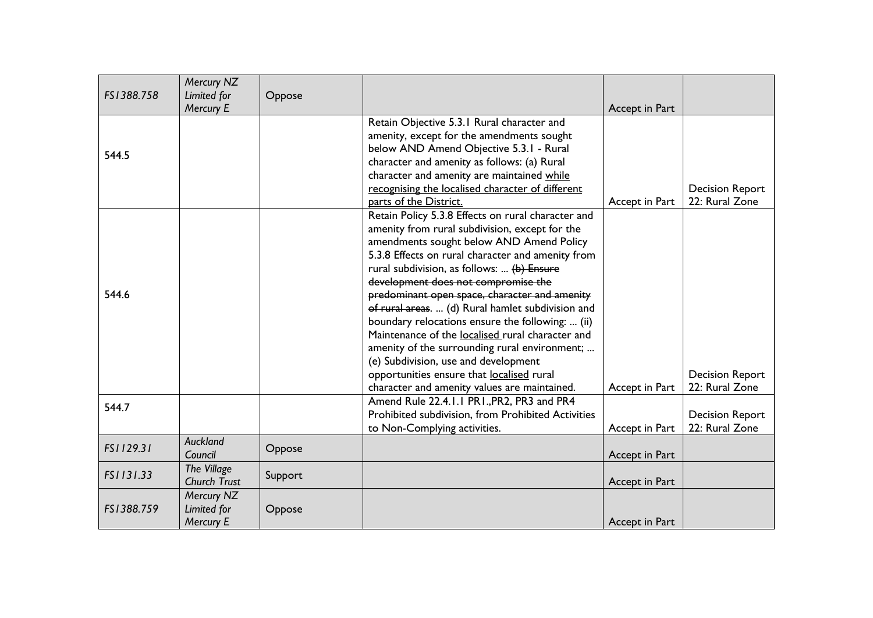| FS1388.758 | Mercury NZ               |         |                                                    |                |                        |
|------------|--------------------------|---------|----------------------------------------------------|----------------|------------------------|
|            | Limited for<br>Mercury E | Oppose  |                                                    | Accept in Part |                        |
|            |                          |         | Retain Objective 5.3.1 Rural character and         |                |                        |
|            |                          |         | amenity, except for the amendments sought          |                |                        |
| 544.5      |                          |         | below AND Amend Objective 5.3.1 - Rural            |                |                        |
|            |                          |         | character and amenity as follows: (a) Rural        |                |                        |
|            |                          |         | character and amenity are maintained while         |                |                        |
|            |                          |         | recognising the localised character of different   |                | <b>Decision Report</b> |
|            |                          |         | parts of the District.                             | Accept in Part | 22: Rural Zone         |
|            |                          |         | Retain Policy 5.3.8 Effects on rural character and |                |                        |
|            |                          |         | amenity from rural subdivision, except for the     |                |                        |
|            |                          |         | amendments sought below AND Amend Policy           |                |                        |
|            |                          |         | 5.3.8 Effects on rural character and amenity from  |                |                        |
|            |                          |         | rural subdivision, as follows:  (b) Ensure         |                |                        |
|            |                          |         | development does not compromise the                |                |                        |
| 544.6      |                          |         | predominant open space, character and amenity      |                |                        |
|            |                          |         | of rural areas.  (d) Rural hamlet subdivision and  |                |                        |
|            |                          |         | boundary relocations ensure the following:  (ii)   |                |                        |
|            |                          |         | Maintenance of the localised rural character and   |                |                        |
|            |                          |         | amenity of the surrounding rural environment;      |                |                        |
|            |                          |         | (e) Subdivision, use and development               |                |                        |
|            |                          |         | opportunities ensure that localised rural          |                | <b>Decision Report</b> |
|            |                          |         | character and amenity values are maintained.       | Accept in Part | 22: Rural Zone         |
| 544.7      |                          |         | Amend Rule 22.4.1.1 PR1., PR2, PR3 and PR4         |                |                        |
|            |                          |         | Prohibited subdivision, from Prohibited Activities |                | <b>Decision Report</b> |
|            |                          |         | to Non-Complying activities.                       | Accept in Part | 22: Rural Zone         |
| FS1129.31  | Auckland<br>Council      | Oppose  |                                                    | Accept in Part |                        |
|            | The Village              |         |                                                    |                |                        |
| FS1131.33  | <b>Church Trust</b>      | Support |                                                    | Accept in Part |                        |
|            | Mercury NZ               |         |                                                    |                |                        |
| FS1388.759 | Limited for              | Oppose  |                                                    |                |                        |
|            | Mercury E                |         |                                                    | Accept in Part |                        |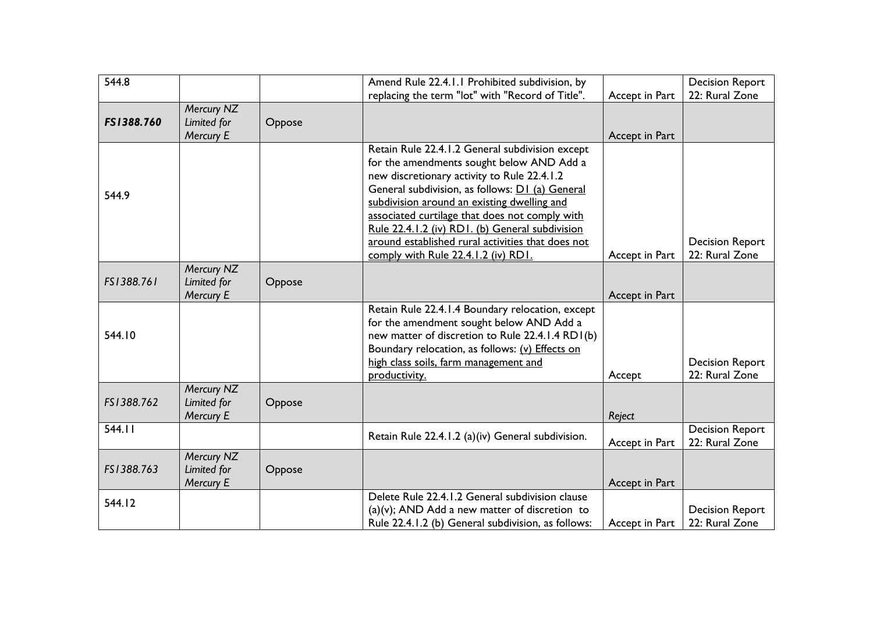| 544.8      |                          |        | Amend Rule 22.4.1.1 Prohibited subdivision, by     |                | <b>Decision Report</b> |
|------------|--------------------------|--------|----------------------------------------------------|----------------|------------------------|
|            |                          |        | replacing the term "lot" with "Record of Title".   | Accept in Part | 22: Rural Zone         |
|            | Mercury NZ               |        |                                                    |                |                        |
| FS1388.760 | Limited for<br>Mercury E | Oppose |                                                    | Accept in Part |                        |
|            |                          |        | Retain Rule 22.4.1.2 General subdivision except    |                |                        |
|            |                          |        | for the amendments sought below AND Add a          |                |                        |
|            |                          |        | new discretionary activity to Rule 22.4.1.2        |                |                        |
|            |                          |        | General subdivision, as follows: D1 (a) General    |                |                        |
| 544.9      |                          |        | subdivision around an existing dwelling and        |                |                        |
|            |                          |        | associated curtilage that does not comply with     |                |                        |
|            |                          |        | Rule 22.4.1.2 (iv) RD1. (b) General subdivision    |                |                        |
|            |                          |        | around established rural activities that does not  |                | <b>Decision Report</b> |
|            |                          |        | comply with Rule 22.4.1.2 (iv) RD1.                | Accept in Part | 22: Rural Zone         |
|            | Mercury NZ               |        |                                                    |                |                        |
| FS1388.761 | Limited for              | Oppose |                                                    |                |                        |
|            | Mercury E                |        |                                                    | Accept in Part |                        |
|            |                          |        | Retain Rule 22.4.1.4 Boundary relocation, except   |                |                        |
|            |                          |        | for the amendment sought below AND Add a           |                |                        |
| 544.10     |                          |        | new matter of discretion to Rule 22.4.1.4 RD1(b)   |                |                        |
|            |                          |        | Boundary relocation, as follows: (v) Effects on    |                |                        |
|            |                          |        | high class soils, farm management and              |                | <b>Decision Report</b> |
|            |                          |        | productivity.                                      | Accept         | 22: Rural Zone         |
|            | Mercury NZ               |        |                                                    |                |                        |
| FS1388.762 | Limited for              | Oppose |                                                    |                |                        |
|            | Mercury E                |        |                                                    | Reject         |                        |
| 544.11     |                          |        | Retain Rule 22.4.1.2 (a)(iv) General subdivision.  |                | <b>Decision Report</b> |
|            |                          |        |                                                    | Accept in Part | 22: Rural Zone         |
|            | Mercury NZ               |        |                                                    |                |                        |
| FS1388.763 | Limited for              | Oppose |                                                    |                |                        |
|            | Mercury E                |        |                                                    | Accept in Part |                        |
| 544.12     |                          |        | Delete Rule 22.4.1.2 General subdivision clause    |                |                        |
|            |                          |        | $(a)(v)$ ; AND Add a new matter of discretion to   |                | <b>Decision Report</b> |
|            |                          |        | Rule 22.4.1.2 (b) General subdivision, as follows: | Accept in Part | 22: Rural Zone         |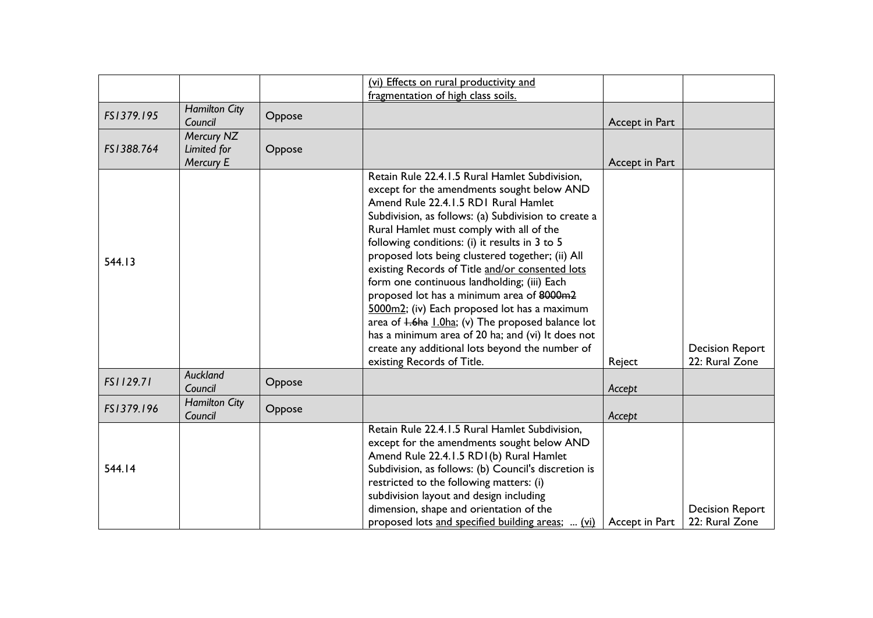|            |                                        |        | (vi) Effects on rural productivity and                                                                                                                                                                                                                                                                                                                                                                                                                                                                                                                                                                                                                                                                                                           |                |                                          |
|------------|----------------------------------------|--------|--------------------------------------------------------------------------------------------------------------------------------------------------------------------------------------------------------------------------------------------------------------------------------------------------------------------------------------------------------------------------------------------------------------------------------------------------------------------------------------------------------------------------------------------------------------------------------------------------------------------------------------------------------------------------------------------------------------------------------------------------|----------------|------------------------------------------|
|            |                                        |        | fragmentation of high class soils.                                                                                                                                                                                                                                                                                                                                                                                                                                                                                                                                                                                                                                                                                                               |                |                                          |
| FS1379.195 | <b>Hamilton City</b><br>Council        | Oppose |                                                                                                                                                                                                                                                                                                                                                                                                                                                                                                                                                                                                                                                                                                                                                  | Accept in Part |                                          |
| FS1388.764 | Mercury NZ<br>Limited for<br>Mercury E | Oppose |                                                                                                                                                                                                                                                                                                                                                                                                                                                                                                                                                                                                                                                                                                                                                  | Accept in Part |                                          |
| 544.13     |                                        |        | Retain Rule 22.4.1.5 Rural Hamlet Subdivision,<br>except for the amendments sought below AND<br>Amend Rule 22.4.1.5 RD1 Rural Hamlet<br>Subdivision, as follows: (a) Subdivision to create a<br>Rural Hamlet must comply with all of the<br>following conditions: (i) it results in 3 to 5<br>proposed lots being clustered together; (ii) All<br>existing Records of Title and/or consented lots<br>form one continuous landholding; (iii) Each<br>proposed lot has a minimum area of 8000m2<br>5000m2; (iv) Each proposed lot has a maximum<br>area of <i>H.6ha L.0ha</i> ; (v) The proposed balance lot<br>has a minimum area of 20 ha; and (vi) It does not<br>create any additional lots beyond the number of<br>existing Records of Title. | Reject         | <b>Decision Report</b><br>22: Rural Zone |
| FS1129.71  | Auckland<br>Council                    | Oppose |                                                                                                                                                                                                                                                                                                                                                                                                                                                                                                                                                                                                                                                                                                                                                  | Accept         |                                          |
| FS1379.196 | <b>Hamilton City</b><br>Council        | Oppose |                                                                                                                                                                                                                                                                                                                                                                                                                                                                                                                                                                                                                                                                                                                                                  | Accept         |                                          |
| 544.14     |                                        |        | Retain Rule 22.4.1.5 Rural Hamlet Subdivision,<br>except for the amendments sought below AND<br>Amend Rule 22.4.1.5 RD1(b) Rural Hamlet<br>Subdivision, as follows: (b) Council's discretion is<br>restricted to the following matters: (i)<br>subdivision layout and design including<br>dimension, shape and orientation of the                                                                                                                                                                                                                                                                                                                                                                                                                |                | <b>Decision Report</b>                   |
|            |                                        |        | proposed lots and specified building areas;  (vi)                                                                                                                                                                                                                                                                                                                                                                                                                                                                                                                                                                                                                                                                                                | Accept in Part | 22: Rural Zone                           |